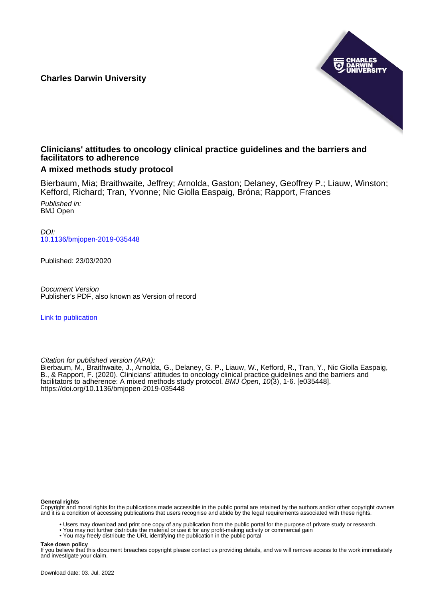**Charles Darwin University**



# **Clinicians' attitudes to oncology clinical practice guidelines and the barriers and facilitators to adherence**

## **A mixed methods study protocol**

Bierbaum, Mia; Braithwaite, Jeffrey; Arnolda, Gaston; Delaney, Geoffrey P.; Liauw, Winston; Kefford, Richard; Tran, Yvonne; Nic Giolla Easpaig, Bróna; Rapport, Frances

Published in: BMJ Open

DOI: [10.1136/bmjopen-2019-035448](https://doi.org/10.1136/bmjopen-2019-035448)

Published: 23/03/2020

Document Version Publisher's PDF, also known as Version of record

[Link to publication](https://researchers.cdu.edu.au/en/publications/b04730c5-45b3-4c32-8a28-2bd23071a528)

Citation for published version (APA):

Bierbaum, M., Braithwaite, J., Arnolda, G., Delaney, G. P., Liauw, W., Kefford, R., Tran, Y., Nic Giolla Easpaig, B., & Rapport, F. (2020). Clinicians' attitudes to oncology clinical practice guidelines and the barriers and facilitators to adherence: A mixed methods study protocol. *BMJ Open, 10*(3), 1-6. [e035448]. <https://doi.org/10.1136/bmjopen-2019-035448>

#### **General rights**

Copyright and moral rights for the publications made accessible in the public portal are retained by the authors and/or other copyright owners and it is a condition of accessing publications that users recognise and abide by the legal requirements associated with these rights.

- Users may download and print one copy of any publication from the public portal for the purpose of private study or research.
- You may not further distribute the material or use it for any profit-making activity or commercial gain
- You may freely distribute the URL identifying the publication in the public portal

#### **Take down policy**

If you believe that this document breaches copyright please contact us providing details, and we will remove access to the work immediately and investigate your claim.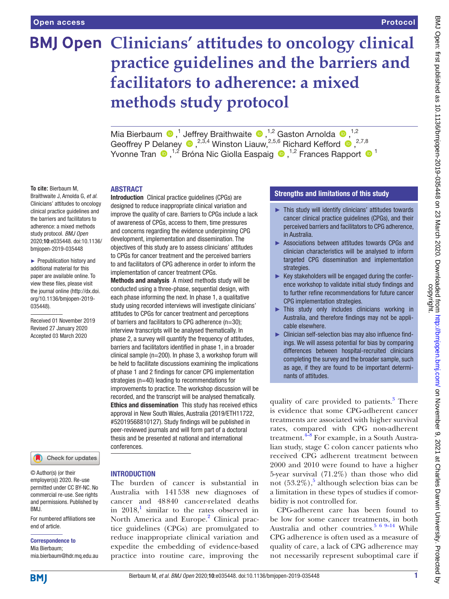# **BMJ Open Clinicians' attitudes to oncology clinical practice guidelines and the barriers and facilitators to adherence: a mixed methods study protocol**

MiaBierbaum  $\bigcirc$ ,<sup>1</sup> Jeffrey Braithwaite  $\bigcirc$ ,<sup>1,2</sup> Gaston Arnolda  $\bigcirc$ ,<sup>1,2</sup> GeoffreyP Delaney  $\bullet$ , <sup>2,3,4</sup> Winston Liauw, <sup>2,5,6</sup> Richard Kefford  $\bullet$ , <sup>2,7,8</sup> YvonneTran  $\bigcirc$ ,<sup>1,2</sup> Bróna Nic Giolla Easpaig  $\bigcirc$ ,<sup>1,2</sup> Frances Rapport  $\bigcirc$ <sup>1</sup>

#### **To cite:** Bierbaum M,

Braithwaite J, Arnolda G, *et al*. Clinicians' attitudes to oncology clinical practice guidelines and the barriers and facilitators to adherence: a mixed methods study protocol. *BMJ Open* 2020;10:e035448. doi:10.1136/ bmjopen-2019-035448

► Prepublication history and additional material for this paper are available online. To view these files, please visit the journal online (http://dx.doi. org/10.1136/bmjopen-2019- 035448).

Received 01 November 2019 Revised 27 January 2020 Accepted 03 March 2020



© Author(s) (or their employer(s)) 2020. Re-use permitted under CC BY-NC. No commercial re-use. See rights and permissions. Published by BMJ.

For numbered affiliations see end of article.

Correspondence to

Mia Bierbaum; mia.bierbaum@hdr.mq.edu.au

#### **ABSTRACT**

Introduction Clinical practice quidelines (CPGs) are designed to reduce inappropriate clinical variation and improve the quality of care. Barriers to CPGs include a lack of awareness of CPGs, access to them, time pressures and concerns regarding the evidence underpinning CPG development, implementation and dissemination. The objectives of this study are to assess clinicians' attitudes to CPGs for cancer treatment and the perceived barriers to and facilitators of CPG adherence in order to inform the implementation of cancer treatment CPGs.

Methods and analysis A mixed methods study will be conducted using a three-phase, sequential design, with each phase informing the next. In phase 1, a qualitative study using recorded interviews will investigate clinicians' attitudes to CPGs for cancer treatment and perceptions of barriers and facilitators to CPG adherence (n=30); interview transcripts will be analysed thematically. In phase 2, a survey will quantify the frequency of attitudes, barriers and facilitators identified in phase 1, in a broader clinical sample (n=200). In phase 3, a workshop forum will be held to facilitate discussions examining the implications of phase 1 and 2 findings for cancer CPG implementation strategies (n=40) leading to recommendations for improvements to practice. The workshop discussion will be recorded, and the transcript will be analysed thematically. Ethics and dissemination This study has received ethics approval in New South Wales, Australia (2019/ETH11722, #52019568810127). Study findings will be published in peer-reviewed journals and will form part of a doctoral thesis and be presented at national and international conferences.

#### **INTRODUCTION**

The burden of cancer is substantial in Australia with 141538 new diagnoses of cancer and 48840 cancer-related deaths in  $2018$  $2018$  $2018$ ,<sup>1</sup> similar to the rates observed in North America and Europe.<sup>2</sup> Clinical practice guidelines (CPGs) are promulgated to reduce inappropriate clinical variation and expedite the embedding of evidence-based practice into routine care, improving the

#### Strengths and limitations of this study

- ► This study will identify clinicians' attitudes towards cancer clinical practice guidelines (CPGs), and their perceived barriers and facilitators to CPG adherence, in Australia.
- ► Associations between attitudes towards CPGs and clinician characteristics will be analysed to inform targeted CPG dissemination and implementation strategies.
- ► Key stakeholders will be engaged during the conference workshop to validate initial study findings and to further refine recommendations for future cancer CPG implementation strategies.
- ► This study only includes clinicians working in Australia, and therefore findings may not be applicable elsewhere.
- ► Clinician self-selection bias may also influence findings. We will assess potential for bias by comparing differences between hospital-recruited clinicians completing the survey and the broader sample, such as age, if they are found to be important determinants of attitudes.

quality of care provided to patients.<sup>[3](#page-6-2)</sup> There is evidence that some CPG-adherent cancer treatments are associated with higher survival rates, compared with CPG non-adherent treatment.<sup>[4–8](#page-6-3)</sup> For example, in a South Australian study, stage C colon cancer patients who received CPG adherent treatment between 2000 and 2010 were found to have a higher 5-year survival (71.2%) than those who did not  $(53.2\%)$  $(53.2\%)$  $(53.2\%)$ , although selection bias can be a limitation in these types of studies if comorbidity is not controlled for.

CPG-adherent care has been found to be low for some cancer treatments, in both Australia and other countries.<sup>5 6 9–14</sup> While CPG adherence is often used as a measure of quality of care, a lack of CPG adherence may not necessarily represent suboptimal care if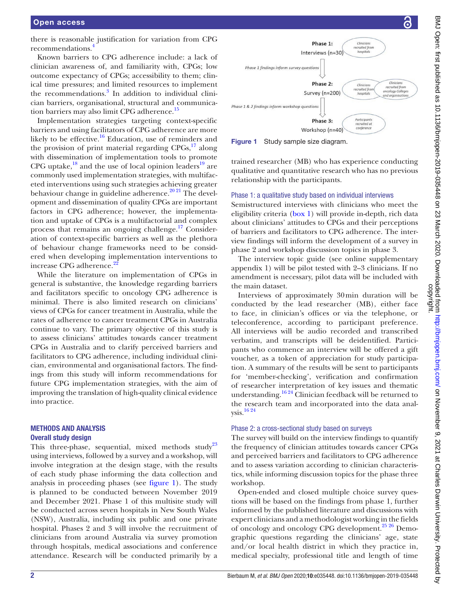there is reasonable justification for variation from CPG recommendations[.4](#page-6-3)

Known barriers to CPG adherence include: a lack of clinician awareness of, and familiarity with, CPGs; low outcome expectancy of CPGs; accessibility to them; clinical time pressures; and limited resources to implement the recommendations.<sup>3</sup> In addition to individual clinician barriers, organisational, structural and communica-tion barriers may also limit CPG adherence.<sup>[15](#page-6-5)</sup>

Implementation strategies targeting context-specific barriers and using facilitators of CPG adherence are more likely to be effective.<sup>16</sup> Education, use of reminders and the provision of print material regarding  $CPGs$ ,<sup>17</sup> along with dissemination of implementation tools to promote CPG uptake, $^{18}$  and the use of local opinion leaders<sup>[19](#page-6-9)</sup> are commonly used implementation strategies, with multifaceted interventions using such strategies achieving greater behaviour change in guideline adherence.<sup>[20 21](#page-6-10)</sup> The development and dissemination of quality CPGs are important factors in CPG adherence; however, the implementation and uptake of CPGs is a multifactorial and complex process that remains an ongoing challenge.<sup>17</sup> Consideration of context-specific barriers as well as the plethora of behaviour change frameworks need to be considered when developing implementation interventions to increase CPG adherence.<sup>22</sup>

While the literature on implementation of CPGs in general is substantive, the knowledge regarding barriers and facilitators specific to oncology CPG adherence is minimal. There is also limited research on clinicians' views of CPGs for cancer treatment in Australia, while the rates of adherence to cancer treatment CPGs in Australia continue to vary. The primary objective of this study is to assess clinicians' attitudes towards cancer treatment CPGs in Australia and to clarify perceived barriers and facilitators to CPG adherence, including individual clinician, environmental and organisational factors. The findings from this study will inform recommendations for future CPG implementation strategies, with the aim of improving the translation of high-quality clinical evidence into practice.

## Methods and analysis Overall study design

This three-phase, sequential, mixed methods study<sup>23</sup> using interviews, followed by a survey and a workshop, will involve integration at the design stage, with the results of each study phase informing the data collection and analysis in proceeding phases (see [figure](#page-2-0) 1). The study is planned to be conducted between November 2019 and December 2021. Phase 1 of this multisite study will be conducted across seven hospitals in New South Wales (NSW), Australia, including six public and one private hospital. Phases 2 and 3 will involve the recruitment of clinicians from around Australia via survey promotion through hospitals, medical associations and conference attendance. Research will be conducted primarily by a



<span id="page-2-0"></span>Figure 1 Study sample size diagram.

trained researcher (MB) who has experience conducting qualitative and quantitative research who has no previous relationship with the participants.

#### Phase 1: a qualitative study based on individual interviews

Semistructured interviews with clinicians who meet the eligibility criteria [\(box](#page-3-0) 1) will provide in-depth, rich data about clinicians' attitudes to CPGs and their perceptions of barriers and facilitators to CPG adherence. The interview findings will inform the development of a survey in phase 2 and workshop discussion topics in phase 3.

The interview topic guide (see [online supplementary](https://dx.doi.org/10.1136/bmjopen-2019-035448)  [appendix 1](https://dx.doi.org/10.1136/bmjopen-2019-035448)) will be pilot tested with 2–3 clinicians. If no amendment is necessary, pilot data will be included with the main dataset.

Interviews of approximately 30min duration will be conducted by the lead researcher (MB), either face to face, in clinician's offices or via the telephone, or teleconference, according to participant preference. All interviews will be audio recorded and transcribed verbatim, and transcripts will be deidentified. Participants who commence an interview will be offered a gift voucher, as a token of appreciation for study participation. A summary of the results will be sent to participants for 'member-checking', verification and confirmation of researcher interpretation of key issues and thematic understanding.<sup>16 24</sup> Clinician feedback will be returned to the research team and incorporated into the data analysis. $\frac{1624}{16}$ 

## Phase 2: a cross-sectional study based on surveys

The survey will build on the interview findings to quantify the frequency of clinician attitudes towards cancer CPGs and perceived barriers and facilitators to CPG adherence and to assess variation according to clinician characteristics, while informing discussion topics for the phase three workshop.

Open-ended and closed multiple choice survey questions will be based on the findings from phase 1, further informed by the published literature and discussions with expert clinicians and a methodologist working in the fields of oncology and oncology CPG development.[25 26](#page-6-13) Demographic questions regarding the clinicians' age, state and/or local health district in which they practice in, medical specialty, professional title and length of time

a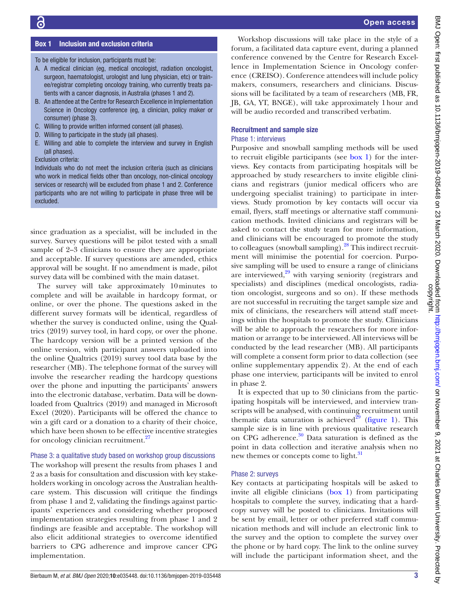excluded.

Box 1 Inclusion and exclusion criteria

## <span id="page-3-0"></span>To be eligible for inclusion, participants must be: A. A medical clinician (eg, medical oncologist, radiation oncologist, surgeon, haematologist, urologist and lung physician, etc) or trainee/registrar completing oncology training, who currently treats patients with a cancer diagnosis, in Australia (phases 1 and 2). B. An attendee at the Centre for Research Excellence in Implementation Science in Oncology conference (eg, a clinician, policy maker or consumer) (phase 3). C. Willing to provide written informed consent (all phases). D. Willing to participate in the study (all phases). E. Willing and able to complete the interview and survey in English (all phases). Exclusion criteria: Individuals who do not meet the inclusion criteria (such as clinicians who work in medical fields other than oncology, non-clinical oncology services or research) will be excluded from phase 1 and 2. Conference participants who are not willing to participate in phase three will be

since graduation as a specialist, will be included in the survey. Survey questions will be pilot tested with a small sample of 2–3 clinicians to ensure they are appropriate and acceptable. If survey questions are amended, ethics approval will be sought. If no amendment is made, pilot survey data will be combined with the main dataset.

The survey will take approximately 10minutes to complete and will be available in hardcopy format, or online, or over the phone. The questions asked in the different survey formats will be identical, regardless of whether the survey is conducted online, using the Qualtrics (2019) survey tool, in hard copy, or over the phone. The hardcopy version will be a printed version of the online version, with participant answers uploaded into the online Qualtrics (2019) survey tool data base by the researcher (MB). The telephone format of the survey will involve the researcher reading the hardcopy questions over the phone and inputting the participants' answers into the electronic database, verbatim. Data will be downloaded from Qualtrics (2019) and managed in Microsoft Excel (2020). Participants will be offered the chance to win a gift card or a donation to a charity of their choice, which have been shown to be effective incentive strategies for oncology clinician recruitment.<sup>[27](#page-6-14)</sup>

#### Phase 3: a qualitative study based on workshop group discussions

The workshop will present the results from phases 1 and 2 as a basis for consultation and discussion with key stakeholders working in oncology across the Australian healthcare system. This discussion will critique the findings from phase 1 and 2, validating the findings against participants' experiences and considering whether proposed implementation strategies resulting from phase 1 and 2 findings are feasible and acceptable. The workshop will also elicit additional strategies to overcome identified barriers to CPG adherence and improve cancer CPG implementation.

Workshop discussions will take place in the style of a forum, a facilitated data capture event, during a planned conference convened by the Centre for Research Excellence in Implementation Science in Oncology conference (CREISO). Conference attendees will include policy makers, consumers, researchers and clinicians. Discussions will be facilitated by a team of researchers (MB, FR, JB, GA, YT, BNGE), will take approximately 1hour and will be audio recorded and transcribed verbatim.

## Recruitment and sample size

#### Phase 1: interviews

Purposive and snowball sampling methods will be used to recruit eligible participants (see [box](#page-3-0) 1) for the interviews. Key contacts from participating hospitals will be approached by study researchers to invite eligible clinicians and registrars (junior medical officers who are undergoing specialist training) to participate in interviews. Study promotion by key contacts will occur via email, flyers, staff meetings or alternative staff communication methods. Invited clinicians and registrars will be asked to contact the study team for more information, and clinicians will be encouraged to promote the study to colleagues (snowball sampling).<sup>[28](#page-6-15)</sup> This indirect recruitment will minimise the potential for coercion. Purposive sampling will be used to ensure a range of clinicians are interviewed, $29$  with varying seniority (registrars and specialists) and disciplines (medical oncologists, radiation oncologist, surgeons and so on). If these methods are not successful in recruiting the target sample size and mix of clinicians, the researchers will attend staff meetings within the hospitals to promote the study. Clinicians will be able to approach the researchers for more information or arrange to be interviewed. All interviews will be conducted by the lead researcher (MB). All participants will complete a consent form prior to data collection (see [online supplementary appendix 2](https://dx.doi.org/10.1136/bmjopen-2019-035448)). At the end of each phase one interview, participants will be invited to enrol in phase 2.

It is expected that up to 30 clinicians from the participating hospitals will be interviewed, and interview transcripts will be analysed, with continuing recruitment until thematic data saturation is achieved<sup>29</sup> ([figure](#page-2-0) 1). This sample size is in line with previous qualitative research on CPG adherence.<sup>30</sup> Data saturation is defined as the point in data collection and iterative analysis when no new themes or concepts come to light.<sup>31</sup>

## Phase 2: surveys

Key contacts at participating hospitals will be asked to invite all eligible clinicians [\(box](#page-3-0) 1) from participating hospitals to complete the survey, indicating that a hardcopy survey will be posted to clinicians. Invitations will be sent by email, letter or other preferred staff communication methods and will include an electronic link to the survey and the option to complete the survey over the phone or by hard copy. The link to the online survey will include the participant information sheet, and the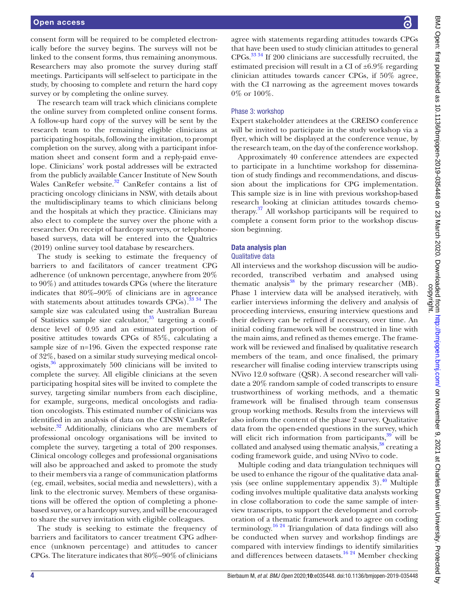#### Open access

consent form will be required to be completed electronically before the survey begins. The surveys will not be linked to the consent forms, thus remaining anonymous. Researchers may also promote the survey during staff meetings. Participants will self-select to participate in the study, by choosing to complete and return the hard copy survey or by completing the online survey.

The research team will track which clinicians complete the online survey from completed online consent forms. A follow-up hard copy of the survey will be sent by the research team to the remaining eligible clinicians at participating hospitals, following the invitation, to prompt completion on the survey, along with a participant information sheet and consent form and a reply-paid envelope. Clinicians' work postal addresses will be extracted from the publicly available Cancer Institute of New South Wales CanRefer website.<sup>32</sup> CanRefer contains a list of practicing oncology clinicians in NSW, with details about the multidisciplinary teams to which clinicians belong and the hospitals at which they practice. Clinicians may also elect to complete the survey over the phone with a researcher. On receipt of hardcopy surveys, or telephonebased surveys, data will be entered into the Qualtrics (2019) online survey tool database by researchers.

The study is seeking to estimate the frequency of barriers to and facilitators of cancer treatment CPG adherence (of unknown percentage, anywhere from 20% to 90%) and attitudes towards CPGs (where the literature indicates that 80%–90% of clinicians are in agreeance with statements about attitudes towards  $CPGs$ ).<sup>33 34</sup> The sample size was calculated using the Australian Bureau of Statistics sample size calculator, $35$  targeting a confidence level of 0.95 and an estimated proportion of positive attitudes towards CPGs of 85%, calculating a sample size of n=196. Given the expected response rate of 32%, based on a similar study surveying medical oncologists, $36$  approximately 500 clinicians will be invited to complete the survey. All eligible clinicians at the seven participating hospital sites will be invited to complete the survey, targeting similar numbers from each discipline, for example, surgeons, medical oncologists and radiation oncologists. This estimated number of clinicians was identified in an analysis of data on the CINSW CanRefer website.<sup>32</sup> Additionally, clinicians who are members of professional oncology organisations will be invited to complete the survey, targeting a total of 200 responses. Clinical oncology colleges and professional organisations will also be approached and asked to promote the study to their members via a range of communication platforms (eg, email, websites, social media and newsletters), with a link to the electronic survey. Members of these organisations will be offered the option of completing a phonebased survey, or a hardcopy survey, and will be encouraged to share the survey invitation with eligible colleagues.

The study is seeking to estimate the frequency of barriers and facilitators to cancer treatment CPG adherence (unknown percentage) and attitudes to cancer CPGs. The literature indicates that 80%–90% of clinicians

agree with statements regarding attitudes towards CPGs that have been used to study clinician attitudes to general CPGs[.33 34](#page-6-20) If 200 clinicians are successfully recruited, the estimated precision will result in a CI of ±6.9% regarding clinician attitudes towards cancer CPGs, if 50% agree, with the CI narrowing as the agreement moves towards 0% or 100%.

#### Phase 3: workshop

Expert stakeholder attendees at the CREISO conference will be invited to participate in the study workshop via a flyer, which will be displayed at the conference venue, by the research team, on the day of the conference workshop.

Approximately 40 conference attendees are expected to participate in a lunchtime workshop for dissemination of study findings and recommendations, and discussion about the implications for CPG implementation. This sample size is in line with previous workshop-based research looking at clinician attitudes towards chemotherapy.<sup>37</sup> All workshop participants will be required to complete a consent form prior to the workshop discussion beginning.

#### Data analysis plan

#### Qualitative data

All interviews and the workshop discussion will be audiorecorded, transcribed verbatim and analysed using thematic analysis $38$  by the primary researcher (MB). Phase 1 interview data will be analysed iteratively, with earlier interviews informing the delivery and analysis of proceeding interviews, ensuring interview questions and their delivery can be refined if necessary, over time. An initial coding framework will be constructed in line with the main aims, and refined as themes emerge. The framework will be reviewed and finalised by qualitative research members of the team, and once finalised, the primary researcher will finalise coding interview transcripts using NVivo 12.0 software (QSR). A second researcher will validate a 20% random sample of coded transcripts to ensure trustworthiness of working methods, and a thematic framework will be finalised through team consensus group working methods. Results from the interviews will also inform the content of the phase 2 survey. Qualitative data from the open-ended questions in the survey, which will elicit rich information from participants, $39$  will be collated and analysed using thematic analysis,<sup>38</sup> creating a coding framework guide, and using NVivo to code.

Multiple coding and data triangulation techniques will be used to enhance the rigour of the qualitative data analysis (see online supplementary appendix  $3$ ).<sup>40</sup> Multiple coding involves multiple qualitative data analysts working in close collaboration to code the same sample of interview transcripts, to support the development and corroboration of a thematic framework and to agree on coding terminology.<sup>[16 24](#page-6-6)</sup> Triangulation of data findings will also be conducted when survey and workshop findings are compared with interview findings to identify similarities and differences between datasets.[16 24](#page-6-6) Member checking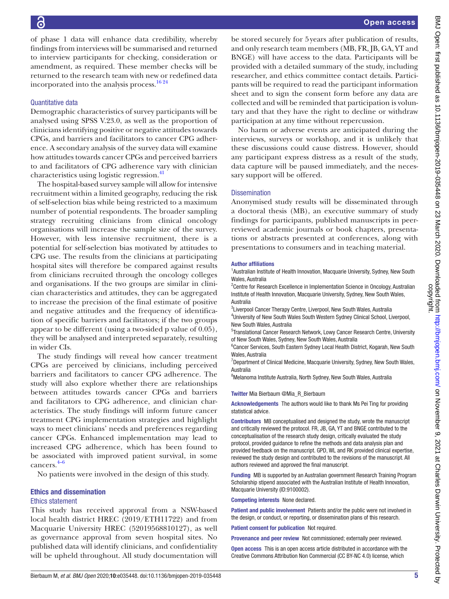of phase 1 data will enhance data credibility, whereby findings from interviews will be summarised and returned to interview participants for checking, consideration or amendment, as required. These member checks will be returned to the research team with new or redefined data incorporated into the analysis process[.16 24](#page-6-6)

## Quantitative data

Demographic characteristics of survey participants will be analysed using SPSS V.23.0, as well as the proportion of clinicians identifying positive or negative attitudes towards CPGs, and barriers and facilitators to cancer CPG adherence. A secondary analysis of the survey data will examine how attitudes towards cancer CPGs and perceived barriers to and facilitators of CPG adherence vary with clinician characteristics using logistic regression.<sup>41</sup>

The hospital-based survey sample will allow for intensive recruitment within a limited geography, reducing the risk of self-selection bias while being restricted to a maximum number of potential respondents. The broader sampling strategy recruiting clinicians from clinical oncology organisations will increase the sample size of the survey. However, with less intensive recruitment, there is a potential for self-selection bias motivated by attitudes to CPG use. The results from the clinicians at participating hospital sites will therefore be compared against results from clinicians recruited through the oncology colleges and organisations. If the two groups are similar in clinician characteristics and attitudes, they can be aggregated to increase the precision of the final estimate of positive and negative attitudes and the frequency of identification of specific barriers and facilitators; if the two groups appear to be different (using a two-sided p value of 0.05), they will be analysed and interpreted separately, resulting in wider CIs.

The study findings will reveal how cancer treatment CPGs are perceived by clinicians, including perceived barriers and facilitators to cancer CPG adherence. The study will also explore whether there are relationships between attitudes towards cancer CPGs and barriers and facilitators to CPG adherence, and clinician characteristics. The study findings will inform future cancer treatment CPG implementation strategies and highlight ways to meet clinicians' needs and preferences regarding cancer CPGs. Enhanced implementation may lead to increased CPG adherence, which has been found to be associated with improved patient survival, in some cancers. [4–6](#page-6-3)

No patients were involved in the design of this study.

#### Ethics and dissemination

#### Ethics statement

This study has received approval from a NSW-based local health district HREC (2019/ETH11722) and from Macquarie University HREC (52019568810127), as well as governance approval from seven hospital sites. No published data will identify clinicians, and confidentiality will be upheld throughout. All study documentation will be stored securely for 5years after publication of results, and only research team members (MB, FR, JB, GA, YT and BNGE) will have access to the data. Participants will be provided with a detailed summary of the study, including researcher, and ethics committee contact details. Participants will be required to read the participant information sheet and to sign the consent form before any data are collected and will be reminded that participation is voluntary and that they have the right to decline or withdraw participation at any time without repercussion.

No harm or adverse events are anticipated during the interviews, surveys or workshop, and it is unlikely that these discussions could cause distress. However, should any participant express distress as a result of the study, data capture will be paused immediately, and the necessary support will be offered.

#### **Dissemination**

Anonymised study results will be disseminated through a doctoral thesis (MB), an executive summary of study findings for participants, published manuscripts in peerreviewed academic journals or book chapters, presentations or abstracts presented at conferences, along with presentations to consumers and in teaching material.

#### Author affiliations

<sup>1</sup>Australian Institute of Health Innovation, Macquarie University, Sydney, New South Wales, Australia

<sup>2</sup> Centre for Research Excellence in Implementation Science in Oncology, Australian Institute of Health Innovation, Macquarie University, Sydney, New South Wales, Australia

<sup>3</sup> Liverpool Cancer Therapy Centre, Liverpool, New South Wales, Australia

4 University of New South Wales South Western Sydney Clinical School, Liverpool, New South Wales, Australia

<sup>5</sup> Translational Cancer Research Network, Lowy Cancer Research Centre, University of New South Wales, Sydney, New South Wales, Australia

<sup>6</sup> Cancer Services, South Eastern Sydney Local Health District, Kogarah, New South Wales, Australia

<sup>7</sup>Department of Clinical Medicine, Macquarie University, Sydney, New South Wales, Australia

8 Melanoma Institute Australia, North Sydney, New South Wales, Australia

Twitter Mia Bierbaum [@Mia\\_R\\_Bierbaum](https://twitter.com/Mia_R_Bierbaum)

Acknowledgements The authors would like to thank Ms Pei Ting for providing statistical advice.

Contributors MB conceptualised and designed the study, wrote the manuscript and critically reviewed the protocol. FR, JB, GA, YT and BNGE contributed to the conceptualisation of the research study design, critically evaluated the study protocol, provided guidance to refine the methods and data analysis plan and provided feedback on the manuscript. GPD, WL and RK provided clinical expertise, reviewed the study design and contributed to the revisions of the manuscript. All authors reviewed and approved the final manuscript.

Funding MB is supported by an Australian government Research Training Program Scholarship stipend associated with the Australian Institute of Health Innovation, Macquarie University (ID:9100002).

Competing interests None declared.

Patient and public involvement Patients and/or the public were not involved in the design, or conduct, or reporting, or dissemination plans of this research.

Patient consent for publication Not required.

Provenance and peer review Not commissioned; externally peer reviewed.

Open access This is an open access article distributed in accordance with the Creative Commons Attribution Non Commercial (CC BY-NC 4.0) license, which